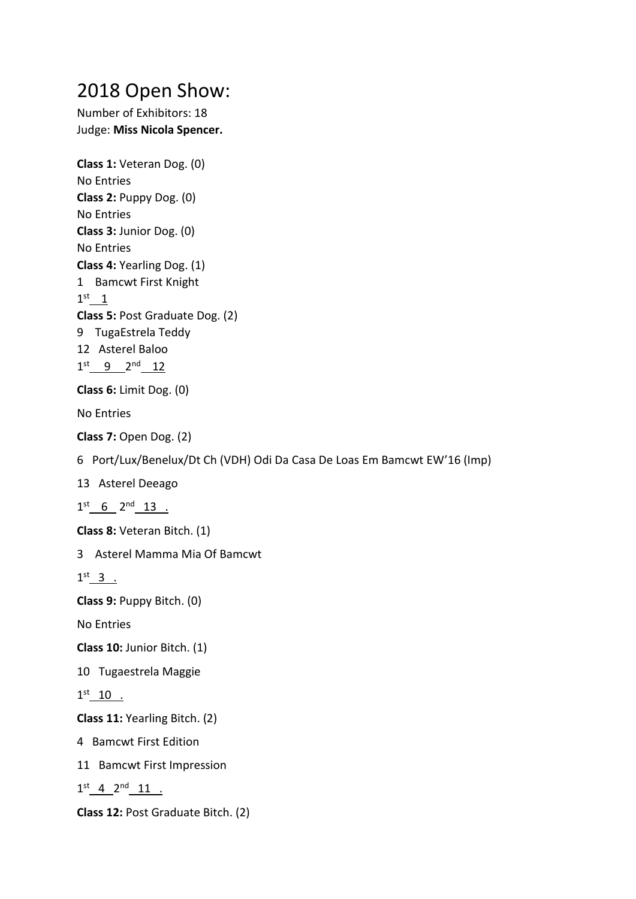## 2018 Open Show:

Number of Exhibitors: 18 Judge: **Miss Nicola Spencer.**

**Class 1:** Veteran Dog. (0) No Entries **Class 2:** Puppy Dog. (0) No Entries **Class 3:** Junior Dog. (0) No Entries **Class 4:** Yearling Dog. (1) 1 Bamcwt First Knight  $1<sup>st</sup>$  1 **Class 5:** Post Graduate Dog. (2) 9 TugaEstrela Teddy 12 Asterel Baloo  $1^{st}$  9  $2^{nd}$  12

**Class 6:** Limit Dog. (0) No Entries

**Class 7:** Open Dog. (2)

6 Port/Lux/Benelux/Dt Ch (VDH) Odi Da Casa De Loas Em Bamcwt EW'16 (Imp)

13 Asterel Deeago

 $1^{st}$  6  $2^{nd}$  13 .

**Class 8:** Veteran Bitch. (1)

3 Asterel Mamma Mia Of Bamcwt

 $1<sup>st</sup>$  3 .

**Class 9:** Puppy Bitch. (0)

No Entries

**Class 10:** Junior Bitch. (1)

10 Tugaestrela Maggie

 $1^{st}$  10 .

**Class 11:** Yearling Bitch. (2)

4 Bamcwt First Edition

11 Bamcwt First Impression

 $1^{st}$  4  $2^{nd}$  11 .

**Class 12:** Post Graduate Bitch. (2)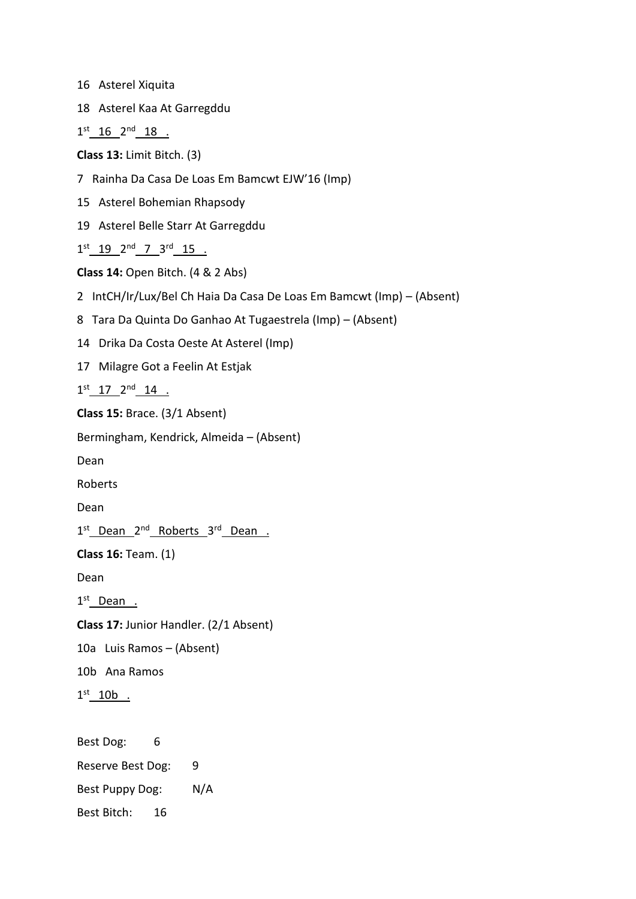16 Asterel Xiquita 18 Asterel Kaa At Garregddu  $1^{st}$  16  $2^{nd}$  18 . **Class 13:** Limit Bitch. (3) 7 Rainha Da Casa De Loas Em Bamcwt EJW'16 (Imp) 15 Asterel Bohemian Rhapsody 19 Asterel Belle Starr At Garregddu  $1^{st}$   $19$   $2^{nd}$   $7$   $3^{rd}$   $15$  . **Class 14:** Open Bitch. (4 & 2 Abs) 2 IntCH/Ir/Lux/Bel Ch Haia Da Casa De Loas Em Bamcwt (Imp) – (Absent) 8 Tara Da Quinta Do Ganhao At Tugaestrela (Imp) – (Absent) 14 Drika Da Costa Oeste At Asterel (Imp) 17 Milagre Got a Feelin At Estjak  $1^{st}$  17  $2^{nd}$  14 . **Class 15:** Brace. (3/1 Absent) Bermingham, Kendrick, Almeida – (Absent) Dean Roberts Dean 1<sup>st</sup> Dean 2<sup>nd</sup> Roberts 3<sup>rd</sup> Dean. **Class 16:** Team. (1) Dean 1<sup>st</sup>\_Dean . **Class 17:** Junior Handler. (2/1 Absent) 10a Luis Ramos – (Absent) 10b Ana Ramos  $1^\text{st}$  10b . Best Dog: 6 Reserve Best Dog: 9 Best Puppy Dog: N/A

Best Bitch: 16